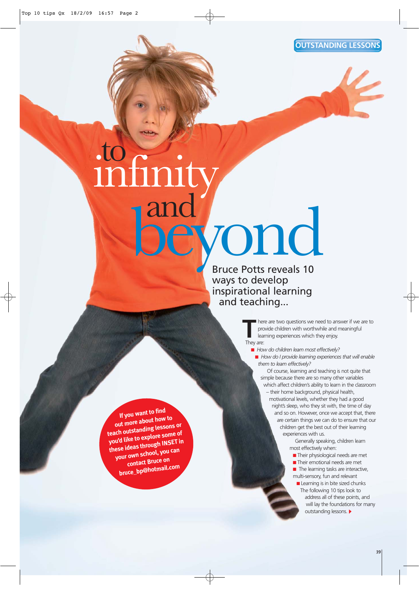**OUTSTANDING LESSONS**

# Bruce Potts reveals 10 to and infinity ond

ways to develop inspirational learning and teaching...

> here are two questions we need to answer if we are to provide children with worthwhile and meaningful learning experiences which they enjoy. They are:

■ *How do children learn most effectively?*

■ *How do I provide learning experiences that will enable them to learn effectively?*

Of course, learning and teaching is not quite that simple because there are so many other variables which affect children's ability to learn in the classroom

– their home background, physical health, motivational levels, whether they had a good night's sleep, who they sit with, the time of day and so on. However, once we accept that, there are certain things we can do to ensure that our children get the best out of their learning experiences with us.

Generally speaking, children learn most effectively when:

- Their physiological needs are met
- Their emotional needs are met
- The learning tasks are interactive, multi-sensory, fun and relevant
- Learning is in bite sized chunks The following 10 tips look to address all of these points, and will lay the foundations for many outstanding lessons.

**If you want to find out more about how to teach outstanding lessons or you'd like to explore some of these ideas through INSET in your own school, you can contact Bruce on bruce\_bp@hotmail.com**